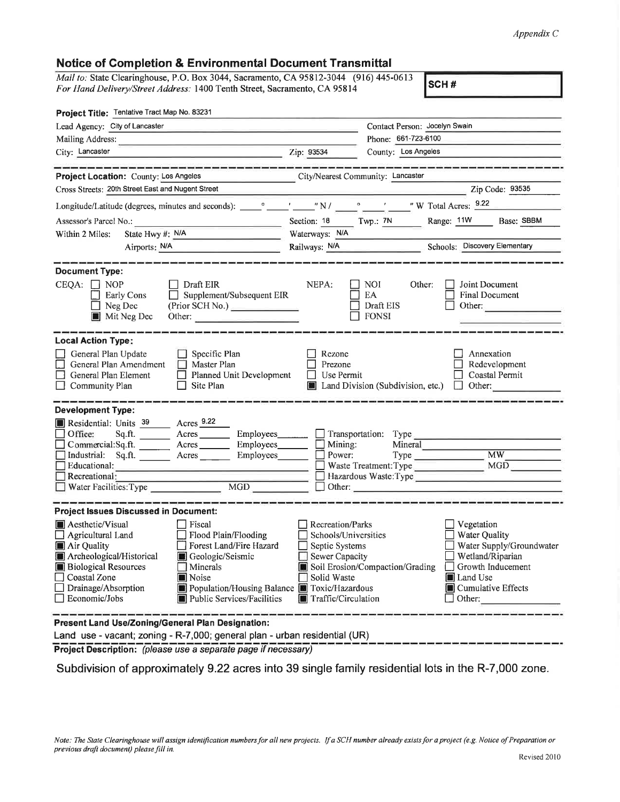## Appendix C

## Notice of Gompletion & Environmental Document Transmittal

| <b>Notice of Completion &amp; Environmental Document Transmittal</b>                                                                                                                                                                                                                                                                                                                                      |                                                                                                                           |                                                                                             |                                                                                                                                                                                                                                                                                                                                                                                                                                                                                 |
|-----------------------------------------------------------------------------------------------------------------------------------------------------------------------------------------------------------------------------------------------------------------------------------------------------------------------------------------------------------------------------------------------------------|---------------------------------------------------------------------------------------------------------------------------|---------------------------------------------------------------------------------------------|---------------------------------------------------------------------------------------------------------------------------------------------------------------------------------------------------------------------------------------------------------------------------------------------------------------------------------------------------------------------------------------------------------------------------------------------------------------------------------|
| Mail to: State Clearinghouse, P.O. Box 3044, Sacramento, CA 95812-3044 (916) 445-0613<br>For Hand Delivery/Street Address: 1400 Tenth Street, Sacramento, CA 95814                                                                                                                                                                                                                                        |                                                                                                                           |                                                                                             | SCH#                                                                                                                                                                                                                                                                                                                                                                                                                                                                            |
| Project Title: Tentative Tract Map No. 83231                                                                                                                                                                                                                                                                                                                                                              |                                                                                                                           |                                                                                             |                                                                                                                                                                                                                                                                                                                                                                                                                                                                                 |
| Lead Agency: City of Lancaster                                                                                                                                                                                                                                                                                                                                                                            |                                                                                                                           | Contact Person: Jocelyn Swain                                                               |                                                                                                                                                                                                                                                                                                                                                                                                                                                                                 |
| Mailing Address:                                                                                                                                                                                                                                                                                                                                                                                          |                                                                                                                           | Phone: 661-723-6100                                                                         |                                                                                                                                                                                                                                                                                                                                                                                                                                                                                 |
| City: Lancaster<br>Zip: 93534                                                                                                                                                                                                                                                                                                                                                                             |                                                                                                                           | County: Los Angeles                                                                         |                                                                                                                                                                                                                                                                                                                                                                                                                                                                                 |
| _________________________________<br>Project Location: County: Los Angeles<br>Cross Streets: 20th Street East and Nugent Street                                                                                                                                                                                                                                                                           | City/Nearest Community: Lancaster                                                                                         |                                                                                             | $\overline{\phantom{a}}$ $\overline{\phantom{a}}$ $\overline{\phantom{a}}$ $\overline{\phantom{a}}$ $\overline{\phantom{a}}$ $\overline{\phantom{a}}$ $\overline{\phantom{a}}$ $\overline{\phantom{a}}$ $\overline{\phantom{a}}$ $\overline{\phantom{a}}$ $\overline{\phantom{a}}$ $\overline{\phantom{a}}$ $\overline{\phantom{a}}$ $\overline{\phantom{a}}$ $\overline{\phantom{a}}$ $\overline{\phantom{a}}$ $\overline{\phantom{a}}$ $\overline{\phantom{a}}$ $\overline{\$ |
|                                                                                                                                                                                                                                                                                                                                                                                                           |                                                                                                                           |                                                                                             |                                                                                                                                                                                                                                                                                                                                                                                                                                                                                 |
|                                                                                                                                                                                                                                                                                                                                                                                                           |                                                                                                                           |                                                                                             |                                                                                                                                                                                                                                                                                                                                                                                                                                                                                 |
|                                                                                                                                                                                                                                                                                                                                                                                                           | Section: 18 Twp.: 7N                                                                                                      |                                                                                             | Range: 11W Base: SBBM                                                                                                                                                                                                                                                                                                                                                                                                                                                           |
| State Hwy #: N/A<br>Within 2 Miles:                                                                                                                                                                                                                                                                                                                                                                       | Waterways: N/A                                                                                                            |                                                                                             |                                                                                                                                                                                                                                                                                                                                                                                                                                                                                 |
| Airports: N/A                                                                                                                                                                                                                                                                                                                                                                                             | Railways: N/A                                                                                                             |                                                                                             | Schools: Discovery Elementary                                                                                                                                                                                                                                                                                                                                                                                                                                                   |
| <b>Document Type:</b><br>$CEQA: \Box NOP$<br>Draft EIR<br>Supplement/Subsequent EIR<br><b>Early Cons</b><br>(Prior SCH No.)<br>$\Box$ Neg Dec<br>Mit Neg Dec<br>Other:                                                                                                                                                                                                                                    | NEPA:                                                                                                                     | NOI<br>Other:<br>EA<br>Draft EIS<br><b>FONSI</b>                                            | Joint Document<br><b>Final Document</b><br>Other:                                                                                                                                                                                                                                                                                                                                                                                                                               |
| <b>Local Action Type:</b><br>General Plan Update<br>$\Box$ Specific Plan<br>General Plan Amendment<br>$\Box$ Master Plan<br>General Plan Element<br>Planned Unit Development<br>$\Box$ Community Plan<br>Site Plan                                                                                                                                                                                        | Rezone<br>Prezone<br>Use Permit                                                                                           | Land Division (Subdivision, etc.)                                                           | Annexation<br>Redevelopment<br>Coastal Permit<br>$\Box$ Other:                                                                                                                                                                                                                                                                                                                                                                                                                  |
| <b>Development Type:</b><br>Residential: Units 39 Acres 9.22<br>Office:<br>Sq.ft. Acres<br>Employees_______<br>Commercial:Sq.ft. ________ Acres _______<br>Industrial: Sq.ft. Acres<br>Educational:<br>Recreational:<br>$\overline{MGD}$<br>$\Box$ Water Facilities: Type                                                                                                                                 | Mining:<br>Power:                                                                                                         | Transportation: Type<br>Mineral<br>Waste Treatment: Type<br>Hazardous Waste: Type<br>Other: | MW<br>MGD                                                                                                                                                                                                                                                                                                                                                                                                                                                                       |
| <b>Project Issues Discussed in Document:</b><br>Aesthetic/Visual<br>Fiscal<br>Flood Plain/Flooding<br>Agricultural Land<br>Air Quality<br>Forest Land/Fire Hazard<br>Archeological/Historical<br>Geologic/Seismic<br><b>Biological Resources</b><br>Minerals<br>Coastal Zone<br>Noise<br>Population/Housing Balance Toxic/Hazardous<br>Drainage/Absorption<br>Economic/Jobs<br>Public Services/Facilities | Recreation/Parks<br>Schools/Universities<br>Septic Systems<br><b>Sewer Capacity</b><br>Solid Waste<br>Traffic/Circulation | Soil Erosion/Compaction/Grading                                                             | Vegetation<br>Water Quality<br>Water Supply/Groundwater<br>Wetland/Riparian<br>Growth Inducement<br>Land Use<br>■ Cumulative Effects<br>Other:                                                                                                                                                                                                                                                                                                                                  |

Present Land Use/Zoning/General Plan Designation:

Land use - vacant; zoning - R-7,000; general plan - urban residential (UR)

Project Description: (please use a separate page if necessary)

Subdivision of approximately 9.22 acres into 39 single family residential lots in the R-7,000 zone.